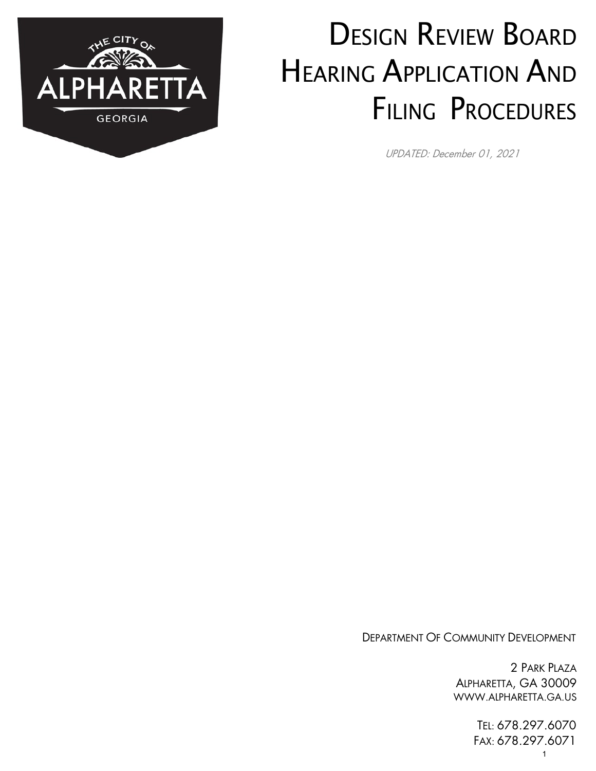

# DESIGN REVIEW BOARD **HEARING APPLICATION AND** FILING PROCEDURES

UPDATED: December 01, 2021

DEPARTMENT OF COMMUNITY DEVELOPMENT

2 PARK PLAZA ALPHARETTA, GA 30009 [WWW.ALPHARETTA.GA.US](http://www.alpharetta.ga.us/)

> TEL: 678.297.6070 FAX: 678.297.6071 1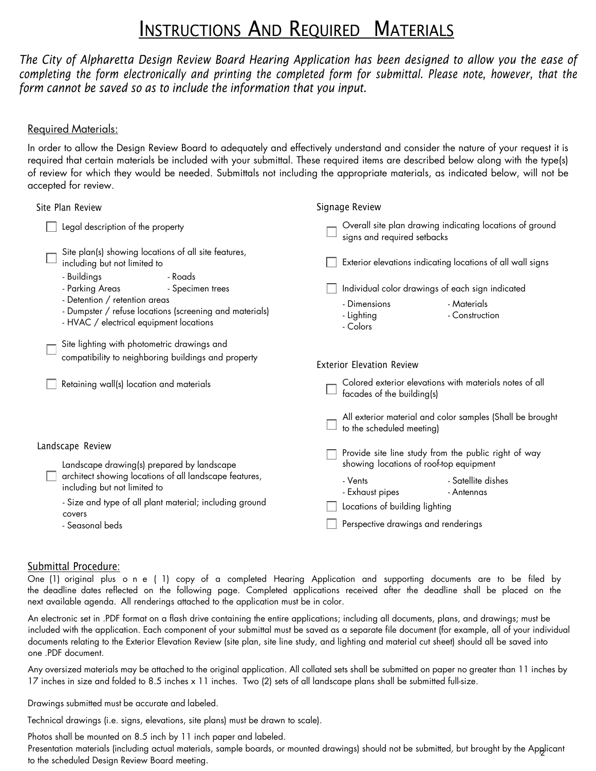### INSTRUCTIONS AND REQUIRED MATERIALS

*The City of Alpharetta Design Review Board Hearing Application has been designed to allow you the ease of completing the form electronically and printing the completed form for submittal. Please note, however, that the form cannot be saved so as to include the information that you input.*

#### Required Materials:

In order to allow the Design Review Board to adequately and effectively understand and consider the nature of your request it is required that certain materials be included with your submittal. These required items are described below along with the type(s) of review for which they would be needed. Submittals not including the appropriate materials, as indicated below, will not be accepted for review.

| Site Plan Review                                                                                                                                                                                                                                                                             | Signage Review                                                                                                                                                                            |  |  |  |
|----------------------------------------------------------------------------------------------------------------------------------------------------------------------------------------------------------------------------------------------------------------------------------------------|-------------------------------------------------------------------------------------------------------------------------------------------------------------------------------------------|--|--|--|
| Legal description of the property                                                                                                                                                                                                                                                            | Overall site plan drawing indicating locations of ground<br>signs and required setbacks                                                                                                   |  |  |  |
| Site plan(s) showing locations of all site features,<br>including but not limited to<br>- Buildings<br>- Roads<br>- Parking Areas<br>- Specimen trees<br>- Detention / retention areas<br>- Dumpster / refuse locations (screening and materials)<br>- HVAC / electrical equipment locations | Exterior elevations indicating locations of all wall signs<br>Individual color drawings of each sign indicated<br>- Materials<br>- Dimensions<br>- Lighting<br>- Construction<br>- Colors |  |  |  |
| Site lighting with photometric drawings and<br>compatibility to neighboring buildings and property                                                                                                                                                                                           | <b>Exterior Elevation Review</b>                                                                                                                                                          |  |  |  |
| Retaining wall(s) location and materials                                                                                                                                                                                                                                                     | Colored exterior elevations with materials notes of all<br>facades of the building(s)                                                                                                     |  |  |  |
|                                                                                                                                                                                                                                                                                              | All exterior material and color samples (Shall be brought<br>to the scheduled meeting)                                                                                                    |  |  |  |
| Landscape Review<br>Landscape drawing(s) prepared by landscape                                                                                                                                                                                                                               | Provide site line study from the public right of way<br>showing locations of roof-top equipment                                                                                           |  |  |  |
| architect showing locations of all landscape features,<br>including but not limited to<br>- Size and type of all plant material; including ground<br>covers<br>- Seasonal beds                                                                                                               | - Satellite dishes<br>- Vents<br>- Exhaust pipes<br>- Antennas<br>Locations of building lighting<br>Perspective drawings and renderings                                                   |  |  |  |

#### Submittal Procedure:

One (1) original plus o n e ( 1) copy of a completed Hearing Application and supporting documents are to be filed by the deadline dates reflected on the following page. Completed applications received after the deadline shall be placed on the next available agenda. All renderings attached to the application must be in color.

An electronic set in .PDF format on a flash drive containing the entire applications; including all documents, plans, and drawings; must be included with the application. Each component of your submittal must be saved as a separate file document (for example, all of your individual documents relating to the Exterior Elevation Review (site plan, site line study, and lighting and material cut sheet) should all be saved into one .PDF document.

Any oversized materials may be attached to the original application. All collated sets shall be submitted on paper no greater than 11 inches by 17 inches in size and folded to 8.5 inches x 11 inches. Two (2) sets of all landscape plans shall be submitted full-size.

Drawings submitted must be accurate and labeled.

Technical drawings (i.e. signs, elevations, site plans) must be drawn to scale).

Photos shall be mounted on 8.5 inch by 11 inch paper and labeled.

Presentation materials (including actual materials, sample boards, or mounted drawings) should not be submitted, but brought by the App 2 licant to the scheduled Design Review Board meeting.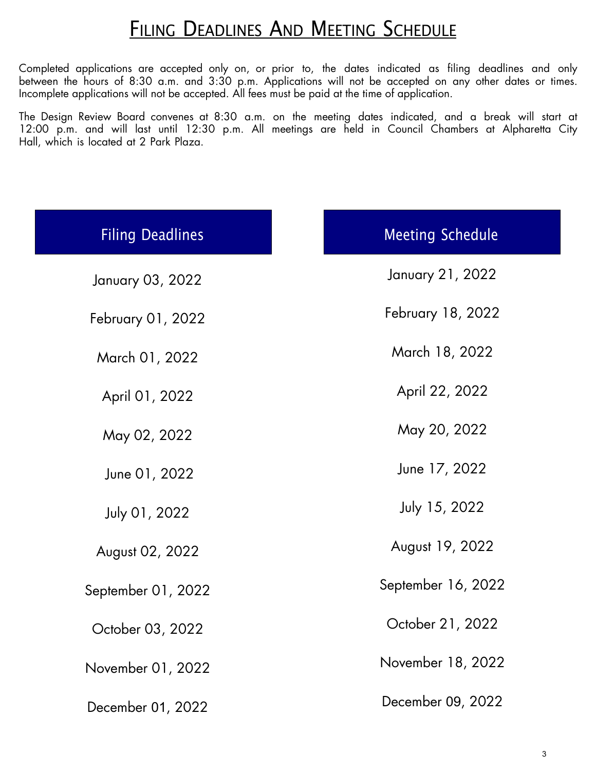# FILING DEADLINES AND MEETING SCHEDULE

Completed applications are accepted only on, or prior to, the dates indicated as filing deadlines and only between the hours of 8:30 a.m. and 3:30 p.m. Applications will not be accepted on any other dates or times. Incomplete applications will not be accepted. All fees must be paid at the time of application.

The Design Review Board convenes at 8:30 a.m. on the meeting dates indicated, and a break will start at 12:00 p.m. and will last until 12:30 p.m. All meetings are held in Council Chambers at Alpharetta City Hall, which is located at 2 Park Plaza.

| <b>Filing Deadlines</b> | <b>Meeting Schedule</b> |
|-------------------------|-------------------------|
| January 03, 2022        | January 21, 2022        |
| February 01, 2022       | February 18, 2022       |
| March 01, 2022          | March 18, 2022          |
| April 01, 2022          | April 22, 2022          |
| May 02, 2022            | May 20, 2022            |
| June 01, 2022           | June 17, 2022           |
| July 01, 2022           | July 15, 2022           |
| August 02, 2022         | August 19, 2022         |
| September 01, 2022      | September 16, 2022      |
| October 03, 2022        | October 21, 2022        |
| November 01, 2022       | November 18, 2022       |
| December 01, 2022       | December 09, 2022       |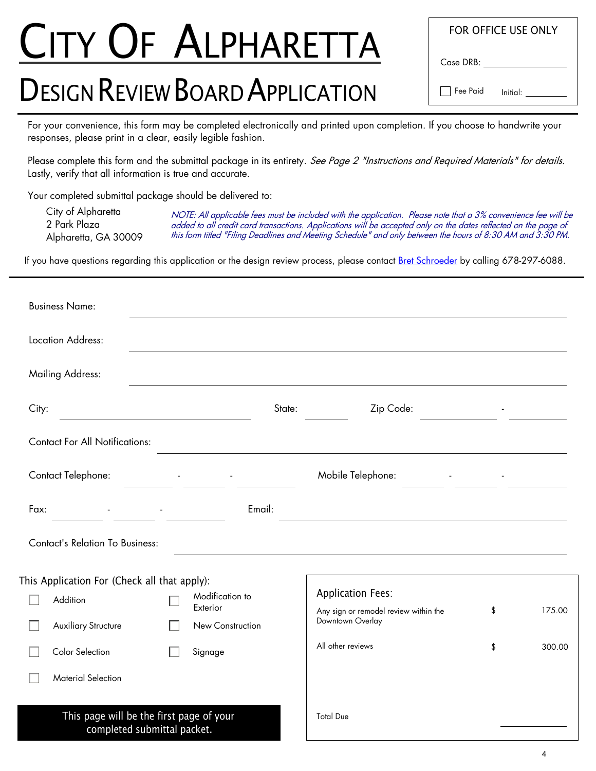# CITY OF ALPHARETTA

# **DESIGN REVIEW BOARD APPLICATION**

FOR OFFICE USE ONLY

Case DRB:

 $\Box$  Fee Paid Initial:

For your convenience, this form may be completed electronically and printed upon completion. If you choose to handwrite your responses, please print in a clear, easily legible fashion.

Please complete this form and the submittal package in its entirety. See Page 2 "Instructions and Required Materials" for details. Lastly, verify that all information is true and accurate.

Your completed submittal package should be delivered to:

City of Alpharetta 2 Park Plaza Alpharetta, GA 30009 NOTE: All applicable fees must be included with the application. Please note that <sup>a</sup> 3% convenience fee will be added to all credit card transactions. Applications will be accepted only on the dates reflected on the page of this form titled "Filing Deadlines and Meeting Schedule" and only [between](mailto:bschroeder@alpharetta.ga.us) the [hours](mailto:bschroeder@alpharetta.ga.us) of 8:30 AM and 3:30 PM.

If you have questions regarding this application or the design review process, please contact Bret Schroeder by calling 678-297-6088.

| <b>Business Name:</b>                        |                                                                                                                                                  |                   |                                                           |    |        |
|----------------------------------------------|--------------------------------------------------------------------------------------------------------------------------------------------------|-------------------|-----------------------------------------------------------|----|--------|
| <b>Location Address:</b>                     |                                                                                                                                                  |                   |                                                           |    |        |
| <b>Mailing Address:</b>                      |                                                                                                                                                  |                   |                                                           |    |        |
| City:                                        |                                                                                                                                                  | State:            | Zip Code:                                                 |    |        |
| <b>Contact For All Notifications:</b>        |                                                                                                                                                  |                   |                                                           |    |        |
| Contact Telephone:                           | $\label{eq:2} \begin{split} \mathcal{L}_{\text{max}}(\mathcal{L}_{\text{max}}) = \mathcal{L}_{\text{max}}(\mathcal{L}_{\text{max}}) \end{split}$ |                   |                                                           |    |        |
| Fax:                                         | Email:                                                                                                                                           |                   |                                                           |    |        |
| <b>Contact's Relation To Business:</b>       |                                                                                                                                                  |                   |                                                           |    |        |
| This Application For (Check all that apply): |                                                                                                                                                  |                   | Application Fees:                                         |    |        |
| Addition                                     | Modification to<br>Exterior                                                                                                                      |                   |                                                           | \$ | 175.00 |
| <b>Auxiliary Structure</b>                   | New Construction                                                                                                                                 |                   | Any sign or remodel review within the<br>Downtown Overlay |    |        |
| Color Selection                              | Signage                                                                                                                                          | All other reviews |                                                           | \$ | 300.00 |
| <b>Material Selection</b>                    |                                                                                                                                                  |                   |                                                           |    |        |
|                                              | This page will be the first page of your<br>completed submittal packet.                                                                          | <b>Total Due</b>  |                                                           |    |        |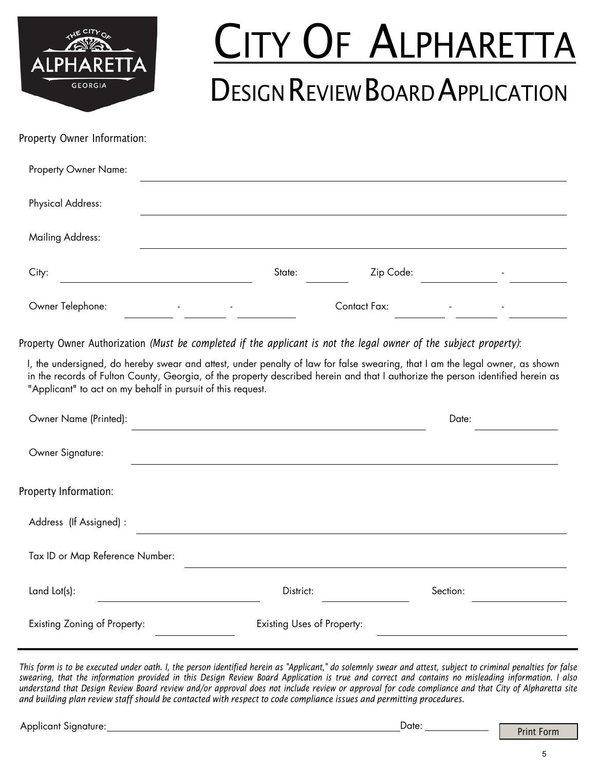

# CITY OF ALPHARETTA **DESIGN REVIEW BOARD APPLICATION**

Property Owner Information:

| Property Owner Name:     |   |        |        |              |                          |   |  |
|--------------------------|---|--------|--------|--------------|--------------------------|---|--|
| <b>Physical Address:</b> |   |        |        |              |                          |   |  |
| <b>Mailing Address:</b>  |   |        |        |              |                          |   |  |
| City:                    |   |        | State: | Zip Code:    |                          | ٠ |  |
| Owner Telephone:         | ٠ | $\sim$ |        | Contact Fax: | $\overline{\phantom{a}}$ |   |  |

Property Owner Authorization *(Must be completed if the applicant is not the legal owner of the subject property)*:

I, the undersigned, do hereby swear and attest, under penalty of law for false swearing, that I am the legal owner, as shown in the records of Fulton County, Georgia, of the property described herein and that I authorize the person identified herein as "Applicant" to act on my behalf in pursuit of this request.

| Owner Name (Printed):           |                            | Date:    |  |
|---------------------------------|----------------------------|----------|--|
| Owner Signature:                |                            |          |  |
| Property Information:           |                            |          |  |
| Address (If Assigned) :         |                            |          |  |
| Tax ID or Map Reference Number: |                            |          |  |
| Land Lot(s):                    | District:                  | Section: |  |
| Existing Zoning of Property:    | Existing Uses of Property: |          |  |

*This form is to be executed under oath. I, the person identified herein as "Applicant," do solemnly swear and attest, subject to criminal penalties for false swearing, that the information provided in this Design Review Board Application is true and correct and contains no misleading information. I also* understand that Design Review Board review and/or approval does not include review or approval for code compliance and that City of Alpharetta site and building plan review staff should be contacted with respect to code compliance issues and permitting procedures.

| . Sianature:<br>Applicant<br>- | Jate: |       |
|--------------------------------|-------|-------|
|                                |       | ----- |
|                                |       |       |
|                                |       |       |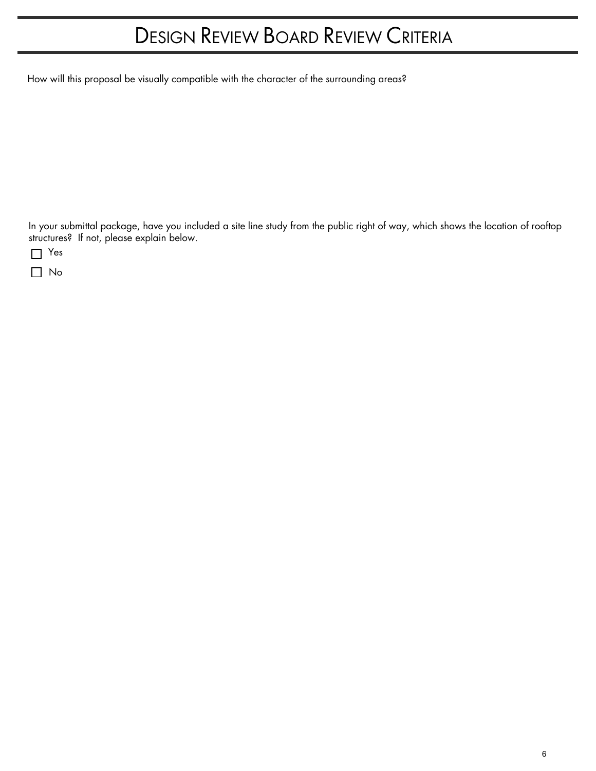# DESIGN REVIEW BOARD REVIEW CRITERIA

How will this proposal be visually compatible with the character of the surrounding areas?

In your submittal package, have you included a site line study from the public right of way, which shows the location of rooftop structures? If not, please explain below.

 $\prod$  Yes

 $\Box$  No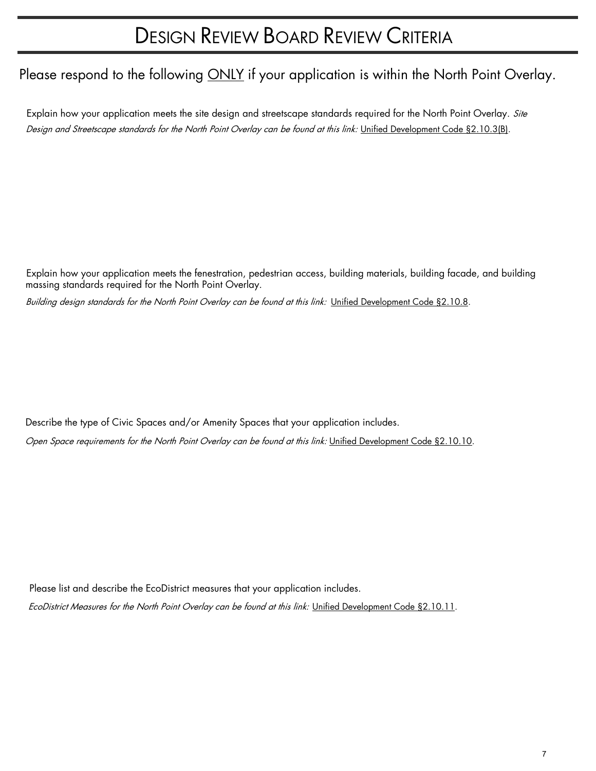# DESIGN REVIEW BOARD REVIEW CRITERIA

### Please respond to the following **ONLY** if your application is within the North Point Overlay.

Explain how your application meets the site design and streetscape standards required for the North Point Overlay. Site Design and Streetscape standards for the North Point Overlay can be found at this link: [Unified Development Code §2.10.3\(B\).](https://library.municode.com/ga/alpharetta/codes/unified_development_code?nodeId=ARTIIUSLAST_S2.10NOPOOV)

Explain how your application meets the fenestration, pedestrian access, building materials, building facade, and building massing standards required for the North Point Overlay.

Building design standards for the North Point Overlay can be found at this link: [Unified Development Code §2.10.8.](https://library.municode.com/ga/alpharetta/codes/unified_development_code?nodeId=ARTIIUSLAST_S2.10NOPOOV)

Describe the type of Civic Spaces and/or Amenity Spaces that your application includes. Open Space requirements for the North Point Overlay can be found at this link: [Unified Development Code §2.10.10.](https://library.municode.com/ga/alpharetta/codes/unified_development_code?nodeId=ARTIIUSLAST_S2.10NOPOOV)

Please list and describe the EcoDistrict measures that your application includes.

EcoDistrict Measures for the North Point Overlay can be found at this link: [Unified Development Code §2.10.11.](https://library.municode.com/ga/alpharetta/codes/unified_development_code?nodeId=ARTIIUSLAST_S2.10NOPOOV)